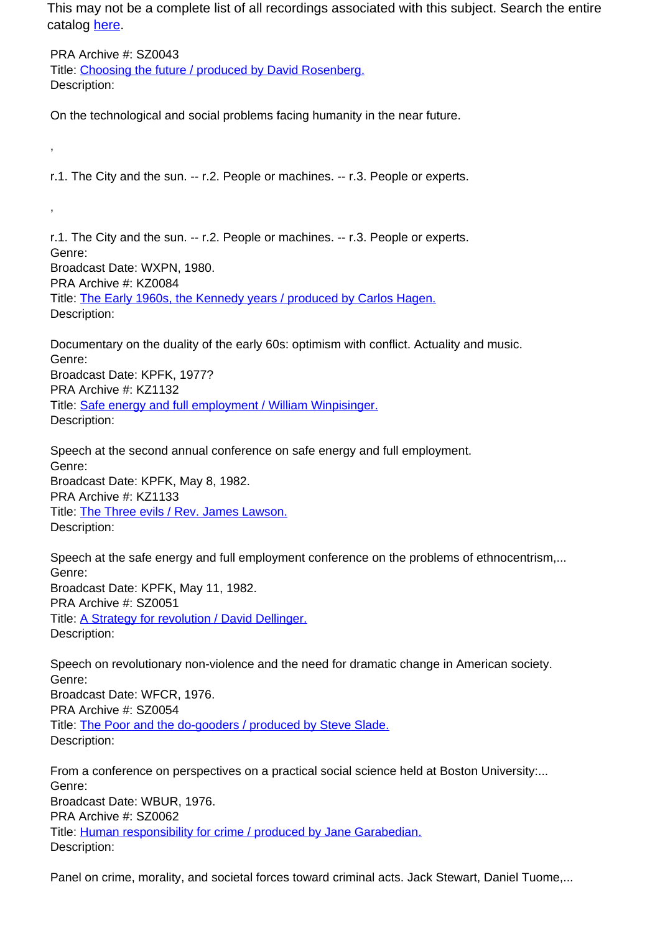This may not be a complete list of all recordings associated with this subject. Search the entire catalog [here.](http://pacificaradioarchives.org/keyword-search)

PRA Archive #: SZ0043 Title: Choosing the future / produced by David Rosenberg. Description:

,

,

On the technological and social problems facing humanity in the near future.

r.1. The City and the sun. -- r.2. People or machines. -- r.3. People or experts.

r.1. The City and the sun. -- r.2. People or machines. -- r.3. People or experts. Genre: Broadcast Date: WXPN, 1980. PRA Archive #: KZ0084 Title: The Early 1960s, the Kennedy years / produced by Carlos Hagen. Description:

Documentary on the duality of the early 60s: optimism with conflict. Actuality and music. Genre: Broadcast Date: KPFK, 1977? PRA Archive #: KZ1132 Title: Safe energy and full employment / William Winpisinger. Description:

Speech at the second annual conference on safe energy and full employment. Genre: Broadcast Date: KPFK, May 8, 1982. PRA Archive #: KZ1133 Title: The Three evils / Rev. James Lawson. Description:

Speech at the safe energy and full employment conference on the problems of ethnocentrism,... Genre: Broadcast Date: KPFK, May 11, 1982. PRA Archive #: SZ0051 Title: A Strategy for revolution / David Dellinger. Description:

Speech on revolutionary non-violence and the need for dramatic change in American society. Genre: Broadcast Date: WFCR, 1976. PRA Archive #: SZ0054 Title: The Poor and the do-gooders / produced by Steve Slade. Description:

From a conference on perspectives on a practical social science held at Boston University:... Genre: Broadcast Date: WBUR, 1976. PRA Archive #: SZ0062 Title: Human responsibility for crime / produced by Jane Garabedian. Description:

Panel on crime, morality, and societal forces toward criminal acts. Jack Stewart, Daniel Tuome,...